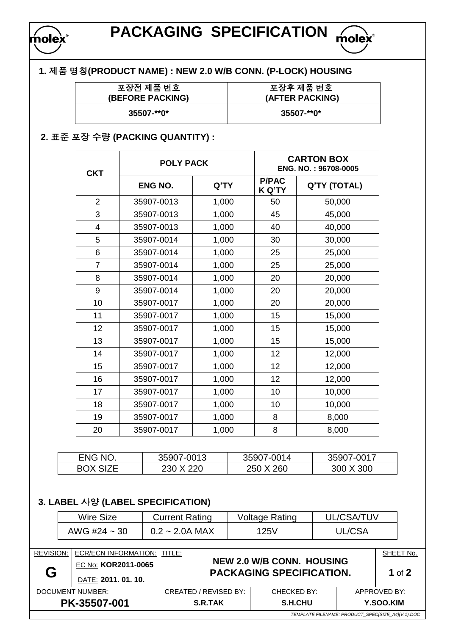

# **PACKAGING SPECIFICATION molex**

## **1.** 제품 명칭**(PRODUCT NAME) : NEW 2.0 W/B CONN. (P-LOCK) HOUSING**

| 포장전 제품 번호               | 포장후 제품 번호       |
|-------------------------|-----------------|
| <b>(BEFORE PACKING)</b> | (AFTER PACKING) |
| $35507 - *0*$           | $35507 - *0*$   |

## **2.** 표준 포장 수량 **(PACKING QUANTITY) :**

| <b>CKT</b>     | <b>POLY PACK</b> |       | <b>CARTON BOX</b><br>ENG. NO.: 96708-0005 |              |  |
|----------------|------------------|-------|-------------------------------------------|--------------|--|
|                | <b>ENG NO.</b>   | Q'TY  | <b>P/PAC</b><br><b>K Q'TY</b>             | Q'TY (TOTAL) |  |
| $\overline{2}$ | 35907-0013       | 1,000 | 50                                        | 50,000       |  |
| 3              | 35907-0013       | 1,000 | 45                                        | 45,000       |  |
| 4              | 35907-0013       | 1,000 | 40                                        | 40,000       |  |
| 5              | 35907-0014       | 1,000 | 30                                        | 30,000       |  |
| 6              | 35907-0014       | 1,000 | 25                                        | 25,000       |  |
| $\overline{7}$ | 35907-0014       | 1,000 | 25                                        | 25,000       |  |
| 8              | 35907-0014       | 1,000 | 20                                        | 20,000       |  |
| 9              | 35907-0014       | 1,000 | 20                                        | 20,000       |  |
| 10             | 35907-0017       | 1,000 | 20                                        | 20,000       |  |
| 11             | 35907-0017       | 1,000 | 15                                        | 15,000       |  |
| 12             | 35907-0017       | 1,000 | 15                                        | 15,000       |  |
| 13             | 35907-0017       | 1,000 | 15                                        | 15,000       |  |
| 14             | 35907-0017       | 1,000 | 12                                        | 12,000       |  |
| 15             | 35907-0017       | 1,000 | 12                                        | 12,000       |  |
| 16             | 35907-0017       | 1,000 | 12                                        | 12,000       |  |
| 17             | 35907-0017       | 1,000 | 10                                        | 10,000       |  |
| 18             | 35907-0017       | 1,000 | 10                                        | 10,000       |  |
| 19             | 35907-0017       | 1,000 | 8                                         | 8,000        |  |
| 20             | 35907-0017       | 1,000 | 8                                         | 8,000        |  |

| ENG NO.         | 35907-0013 | 35907-0014 | 35907-0017 |
|-----------------|------------|------------|------------|
| <b>BOX SIZE</b> | 230 X 220  | 250 X 260  | 300 X 300  |

## **3. LABEL** 사양 **(LABEL SPECIFICATION)**

| Wire Size         | <b>Current Rating</b> | <b>Voltage Rating</b> | UL/CSA/TUV |
|-------------------|-----------------------|-----------------------|------------|
| AWG #24 $\sim$ 30 | $0.2 \sim 2.0$ A MAX  | 125V                  | UL/CSA     |

| <b>REVISION:</b>                                  | <b>ECR/ECN INFORMATION:</b>              | ITITLE:               |                                                                     |  | SHEET No.    |
|---------------------------------------------------|------------------------------------------|-----------------------|---------------------------------------------------------------------|--|--------------|
| G                                                 | EC No: KOR2011-0065<br>DATE: 2011.01.10. |                       | <b>NEW 2.0 W/B CONN. HOUSING</b><br><b>PACKAGING SPECIFICATION.</b> |  | 1 of $2$     |
|                                                   | DOCUMENT NUMBER:                         | CREATED / REVISED BY: | CHECKED BY:                                                         |  | APPROVED BY: |
|                                                   | PK-35507-001                             | <b>S.R.TAK</b>        | S.H.CHU                                                             |  | Y.SOO.KIM    |
| TEMPLATE FILENAME: PRODUCT_SPEC[SIZE_A4](V.1).DOC |                                          |                       |                                                                     |  |              |